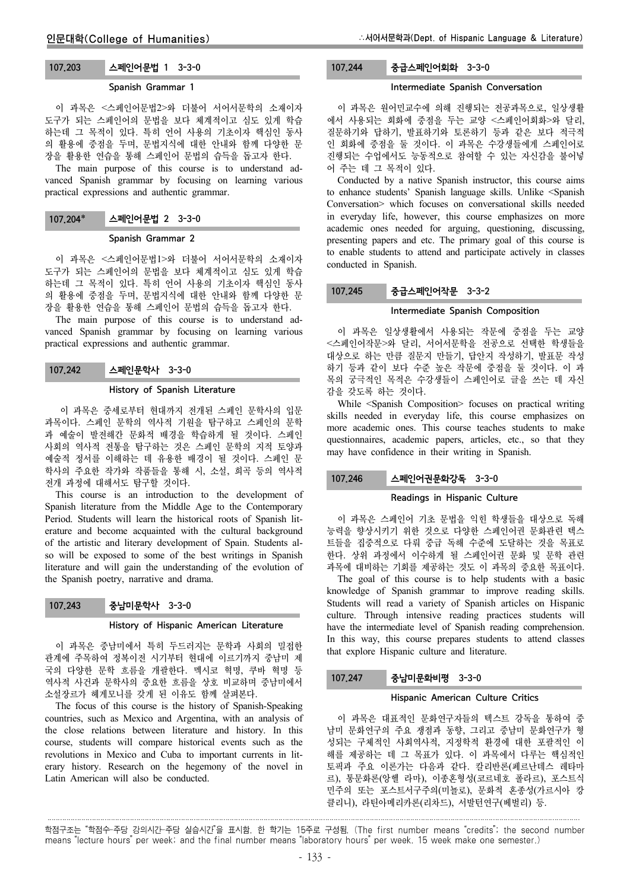# 107.203 스페인어문법 1 3-3-0

### Spanish Grammar 1

이 과목은 <스페인어문법2>와 더불어 서어서문학의 소재이자 도구가 되는 스페인어의 문법을 보다 체계적이고 심도 있게 학습 하는데 그 목적이 있다. 특히 언어 사용의 기초이자 핵심인 동사 의 활용에 중점을 두며, 문법지식에 대한 안내와 함께 다양한 문 장을 활용한 연습을 통해 스페인어 문법의 습득을 돕고자 한다.

The main purpose of this course is to understand advanced Spanish grammar by focusing on learning various practical expressions and authentic grammar.

## 107.204 스페인어문법 2 3-3-0

## Spanish Grammar 2

이 과목은 <스페인어문법1>와 더불어 서어서문학의 소재이자 도구가 되는 스페인어의 문법을 보다 체계적이고 심도 있게 학습 하는데 그 목적이 있다. 특히 언어 사용의 기초이자 핵심인 동사 의 활용에 중점을 두며, 문법지식에 대한 안내와 함께 다양한 문 장을 활용한 연습을 통해 스페인어 문법의 습득을 돕고자 한다.

The main purpose of this course is to understand advanced Spanish grammar by focusing on learning various practical expressions and authentic grammar.

### 107.242 스페인문학사 3-3-0

### History of Spanish Literature

이 과목은 중세로부터 현대까지 전개된 스페인 문학사의 입문 과목이다. 스페인 문학의 역사적 기원을 탐구하고 스페인의 문학 과 예술이 발전해간 문화적 배경을 학습하게 될 것이다. 스페인 사회의 역사적 전통을 탐구하는 것은 스페인 문학의 지적 토양과 예술적 정서를 이해하는 데 유용한 배경이 될 것이다. 스페인 문 학사의 주요한 작가와 작품들을 통해 시, 소설, 희곡 등의 역사적 전개 과정에 대해서도 탐구할 것이다.

This course is an introduction to the development of Spanish literature from the Middle Age to the Contemporary Period. Students will learn the historical roots of Spanish literature and become acquainted with the cultural background of the artistic and literary development of Spain. Students also will be exposed to some of the best writings in Spanish literature and will gain the understanding of the evolution of the Spanish poetry, narrative and drama.

### 107.243 중남미문학사 3-3-0

#### History of Hispanic American Literature

이 과목은 중남미에서 특히 두드러지는 문학과 사회의 밀접한 관계에 주목하여 정복이전 시기부터 현대에 이르기까지 중남미 제 국의 다양한 문학 흐름을 개괄한다. 멕시코 혁명, 쿠바 혁명 등 역사적 사건과 문학사의 중요한 흐름을 상호 비교하며 중남미에서 소설장르가 헤게모니를 갖게 된 이유도 함께 살펴본다.

The focus of this course is the history of Spanish-Speaking countries, such as Mexico and Argentina, with an analysis of the close relations between literature and history. In this course, students will compare historical events such as the revolutions in Mexico and Cuba to important currents in literary history. Research on the hegemony of the novel in Latin American will also be conducted.

## 107.244 중급스페인어회화 3-3-0

### Intermediate Spanish Conversation

이 과목은 원어민교수에 의해 진행되는 전공과목으로, 일상생활 에서 사용되는 회화에 중점을 두는 교양 <스페인어회화>와 달리, 질문하기와 답하기, 발표하기와 토론하기 등과 같은 보다 적극적 인 회화에 중점을 둘 것이다. 이 과목은 수강생들에게 스페인어로 진행되는 수업에서도 능동적으로 참여할 수 있는 자신감을 불어넣 어 주는 데 그 목적이 있다.

Conducted by a native Spanish instructor, this course aims to enhance students' Spanish language skills. Unlike <Spanish Conversation> which focuses on conversational skills needed in everyday life, however, this course emphasizes on more academic ones needed for arguing, questioning, discussing, presenting papers and etc. The primary goal of this course is to enable students to attend and participate actively in classes conducted in Spanish.

## 107.245 중급스페인어작문 3-3-2

#### Intermediate Spanish Composition

이 과목은 일상생활에서 사용되는 작문에 중점을 두는 교양 <스페인어작문>와 달리, 서어서문학을 전공으로 선택한 학생들을 대상으로 하는 만큼 질문지 만들기, 답안지 작성하기, 발표문 작성 하기 등과 같이 보다 수준 높은 작문에 중점을 둘 것이다. 이 과 목의 궁극적인 목적은 수강생들이 스페인어로 글을 쓰는 데 자신 감을 갖도록 하는 것이다.

While <Spanish Composition> focuses on practical writing skills needed in everyday life, this course emphasizes on more academic ones. This course teaches students to make questionnaires, academic papers, articles, etc., so that they may have confidence in their writing in Spanish.

## 107.246 스페인어권문화강독 3-3-0

### Readings in Hispanic Culture

이 과목은 스페인어 기초 문법을 익힌 학생들을 대상으로 독해 능력을 향상시키기 위한 것으로 다양한 스페인어권 문화관련 텍스 트들을 집중적으로 다뤄 중급 독해 수준에 도달하는 것을 목표로 한다. 상위 과정에서 이수하게 될 스페인어권 문화 및 문학 관련 과목에 대비하는 기회를 제공하는 것도 이 과목의 중요한 목표이다.

The goal of this course is to help students with a basic knowledge of Spanish grammar to improve reading skills. Students will read a variety of Spanish articles on Hispanic culture. Through intensive reading practices students will have the intermediate level of Spanish reading comprehension. In this way, this course prepares students to attend classes that explore Hispanic culture and literature.

### 107.247 중남미문화비평 3-3-0

## Hispanic American Culture Critics

이 과목은 대표적인 문화연구자들의 텍스트 강독을 통하여 중 남미 문화연구의 주요 쟁점과 동향, 그리고 중남미 문화연구가 형 성되는 구체적인 사회역사적, 지정학적 환경에 대한 포괄적인 이 해를 제공하는 데 그 목표가 있다. 이 과목에서 다루는 핵심적인 토픽과 주요 이론가는 다음과 같다. 칼리반론(페르난데스 레타마 르), 통문화론(앙헬 라마), 이종혼형성(코르네호 폴라르), 포스트식 민주의 또는 포스트서구주의(미뇰로), 문화적 혼종성(가르시아 캉 클리니), 라틴아메리카론(리차드), 서발턴연구(베벌리) 등.

학점구조는 "학점수-주당 강의시간-주당 실습시간"을 표시함. 한 학기는 15주로 구성됨. (The first number means "credits"; the second number means "lecture hours" per week; and the final number means "laboratory hours" per week. 15 week make one semester.)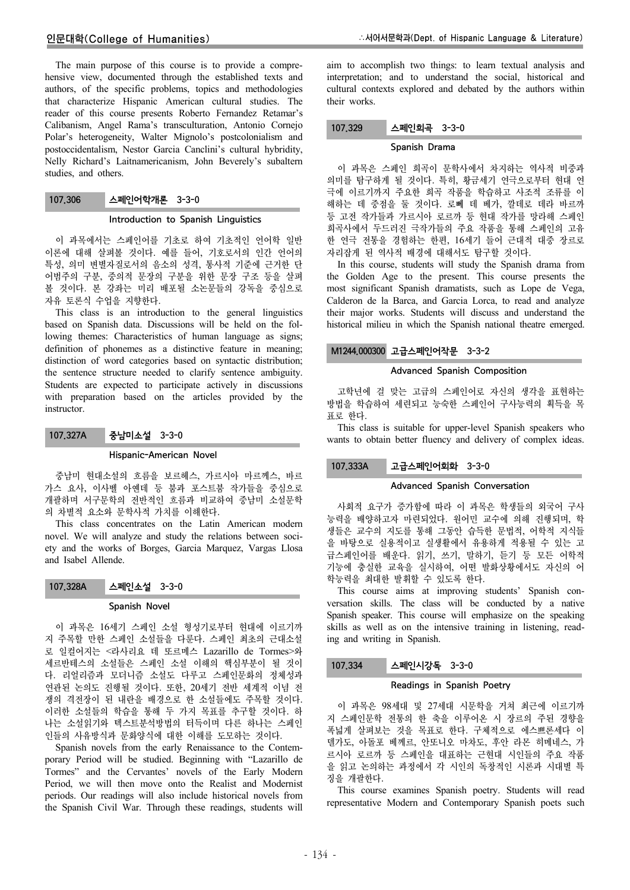## 인문대학(College of Humanities)

The main purpose of this course is to provide a comprehensive view, documented through the established texts and authors, of the specific problems, topics and methodologies that characterize Hispanic American cultural studies. The reader of this course presents Roberto Fernandez Retamar's Calibanism, Angel Rama's transculturation, Antonio Cornejo Polar's heterogeneity, Walter Mignolo's postcolonialism and postoccidentalism, Nestor Garcia Canclini's cultural hybridity, Nelly Richard's Laitnamericanism, John Beverely's subaltern studies, and others.

## 107.306 스페인어학개론 3-3-0

### Introduction to Spanish Linguistics

이 과목에서는 스페인어를 기초로 하여 기초적인 언어학 일반 이론에 대해 살펴볼 것이다. 예를 들어, 기호로서의 인간 언어의 특성, 의미 변별자질로서의 음소의 성격, 통사적 기준에 근거한 단 어범주의 구분, 중의적 문장의 구분을 위한 문장 구조 등을 살펴 볼 것이다. 본 강좌는 미리 배포될 소논문들의 강독을 중심으로 자유 토론식 수업을 지향한다.

This class is an introduction to the general linguistics based on Spanish data. Discussions will be held on the following themes: Characteristics of human language as signs; definition of phonemes as a distinctive feature in meaning; distinction of word categories based on syntactic distribution; the sentence structure needed to clarify sentence ambiguity. Students are expected to participate actively in discussions with preparation based on the articles provided by the instructor.

### 107.327A 중남미소설 3-3-0

### Hispanic-American Novel

중남미 현대소설의 흐름을 보르헤스, 가르시아 마르께스, 바르 가스 요사, 이사벨 아옌데 등 붐과 포스트붐 작가들을 중심으로 개괄하며 서구문학의 전반적인 흐름과 비교하여 중남미 소설문학 의 차별적 요소와 문학사적 가치를 이해한다.

This class concentrates on the Latin American modern novel. We will analyze and study the relations between society and the works of Borges, Garcia Marquez, Vargas Llosa and Isabel Allende.

| 107,328A | 스페인소설 3-3-0 |  |
|----------|-------------|--|
|----------|-------------|--|

## Spanish Novel

이 과목은 16세기 스페인 소설 형성기로부터 현대에 이르기까 지 주목할 만한 스페인 소설들을 다룬다. 스페인 최초의 근대소설 로 일컬어지는 <라사리요 데 또르메스 Lazarillo de Tormes>와 세르반테스의 소설들은 스페인 소설 이해의 핵심부분이 될 것이 다. 리얼리즘과 모더니즘 소설도 다루고 스페인문화의 정체성과 연관된 논의도 진행될 것이다. 또한, 20세기 전반 세계적 이념 전 쟁의 격전장이 된 내란을 배경으로 한 소설들에도 주목할 것이다. 이러한 소설들의 학습을 통해 두 가지 목표를 추구할 것이다. 하 나는 소설읽기와 텍스트분석방법의 터득이며 다른 하나는 스페인 인들의 사유방식과 문화양식에 대한 이해를 도모하는 것이다.

Spanish novels from the early Renaissance to the Contemporary Period will be studied. Beginning with "Lazarillo de Tormes" and the Cervantes' novels of the Early Modern Period, we will then move onto the Realist and Modernist periods. Our readings will also include historical novels from the Spanish Civil War. Through these readings, students will aim to accomplish two things: to learn textual analysis and interpretation; and to understand the social, historical and cultural contexts explored and debated by the authors within their works.

## 107.329 스페인희곡 3-3-0

### Spanish Drama

이 과목은 스페인 희곡이 문학사에서 차지하는 역사적 비중과 의미를 탐구하게 될 것이다. 특히, 황금세기 연극으로부터 현대 연 극에 이르기까지 주요한 희곡 작품을 학습하고 사조적 조류를 이 해하는 데 중점을 둘 것이다. 로뻬 데 베가, 깔데로 데라 바르까 등 고전 작가들과 가르시아 로르까 등 현대 작가를 망라해 스페인 희곡사에서 두드러진 극작가들의 주요 작품을 통해 스페인의 고유 한 연극 전통을 경험하는 한편, 16세기 들어 근대적 대중 장르로 자리잡게 된 역사적 배경에 대해서도 탐구할 것이다.

In this course, students will study the Spanish drama from the Golden Age to the present. This course presents the most significant Spanish dramatists, such as Lope de Vega, Calderon de la Barca, and Garcia Lorca, to read and analyze their major works. Students will discuss and understand the historical milieu in which the Spanish national theatre emerged.

## M1244.000300 고급스페인어작문 3-3-2

## Advanced Spanish Composition

고학년에 걸 맞는 고급의 스페인어로 자신의 생각을 표현하는 방법을 학습하여 세련되고 능숙한 스페인어 구사능력의 획득을 목 표로 한다.

This class is suitable for upper-level Spanish speakers who wants to obtain better fluency and delivery of complex ideas.

## 107.333A 고급스페인어회화 3-3-0

#### Advanced Spanish Conversation

사회적 요구가 증가함에 따라 이 과목은 학생들의 외국어 구사 능력을 배양하고자 마련되었다. 원어민 교수에 의해 진행되며, 학 생들은 교수의 지도를 통해 그동안 습득한 문법적, 어학적 지식들 을 바탕으로 실용적이고 실생활에서 유용하게 적용될 수 있는 고 급스페인어를 배운다. 읽기, 쓰기, 말하기, 듣기 등 모든 어학적 기능에 충실한 교육을 실시하여, 어떤 발화상황에서도 자신의 어 학능력을 최대한 발휘할 수 있도록 한다.

This course aims at improving students' Spanish conversation skills. The class will be conducted by a native Spanish speaker. This course will emphasize on the speaking skills as well as on the intensive training in listening, reading and writing in Spanish.

## 107.334 스페인시강독 3-3-0

### Readings in Spanish Poetry

이 과목은 98세대 및 27세대 시문학을 거쳐 최근에 이르기까 지 스페인문학 전통의 한 축을 이루어온 시 장르의 주된 경향을 폭넓게 살펴보는 것을 목표로 한다. 구체적으로 에스쁘론세다 이 델가도, 아돌포 베께르, 안또니오 마차도, 후안 라몬 히메네스, 가 르시아 로르까 등 스페인을 대표하는 근현대 시인들의 주요 작품 을 읽고 논의하는 과정에서 각 시인의 독창적인 시론과 시대별 특 징을 개괄한다.

This course examines Spanish poetry. Students will read representative Modern and Contemporary Spanish poets such